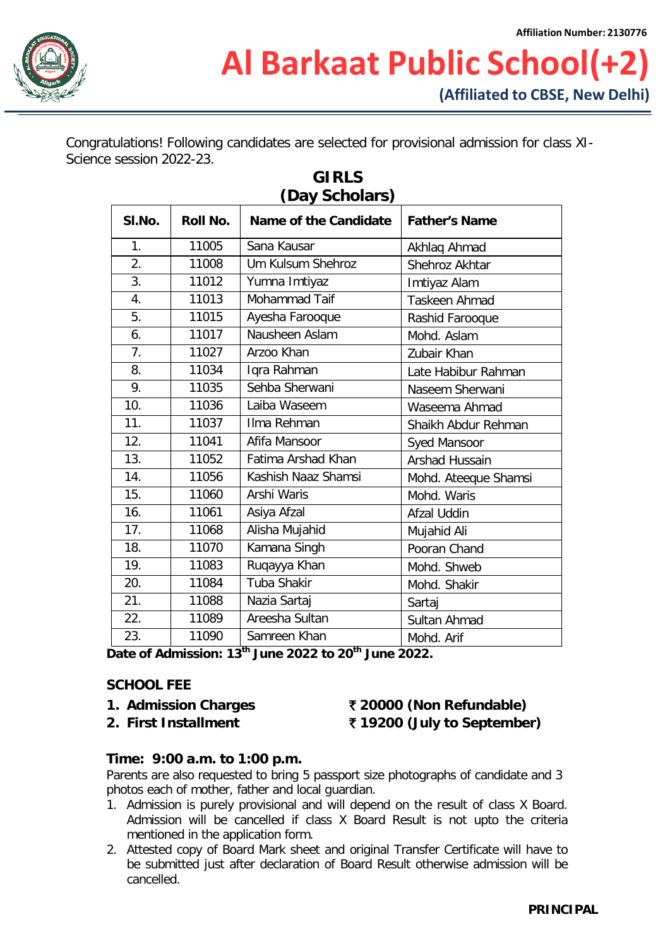

Congratulations! Following candidates are selected for provisional admission for class XI-Science session 2022-23.

| SI.No.           | Roll No. | (Day Scholars)<br>Name of the Candidate | <b>Father's Name</b> |
|------------------|----------|-----------------------------------------|----------------------|
| 1.               | 11005    | Sana Kausar                             | Akhlaq Ahmad         |
| 2.               | 11008    | Um Kulsum Shehroz                       | Shehroz Akhtar       |
| $\overline{3}$ . | 11012    | Yumna Imtiyaz                           | Imtiyaz Alam         |
| 4.               | 11013    | Mohammad Taif                           | <b>Taskeen Ahmad</b> |
| 5.               | 11015    | Ayesha Farooque                         | Rashid Farooque      |
| 6.               | 11017    | Nausheen Aslam                          | Mohd. Aslam          |
| 7.               | 11027    | Arzoo Khan                              | Zubair Khan          |
| 8.               | 11034    | Iqra Rahman                             | Late Habibur Rahman  |
| 9.               | 11035    | Sehba Sherwani                          | Naseem Sherwani      |
| 10.              | 11036    | Laiba Waseem                            | Waseema Ahmad        |
| 11.              | 11037    | Ilma Rehman                             | Shaikh Abdur Rehman  |
| 12.              | 11041    | Afifa Mansoor                           | Syed Mansoor         |
| 13.              | 11052    | Fatima Arshad Khan                      | Arshad Hussain       |
| 14.              | 11056    | Kashish Naaz Shamsi                     | Mohd. Ateeque Shamsi |
| 15.              | 11060    | Arshi Waris                             | Mohd. Waris          |
| 16.              | 11061    | Asiya Afzal                             | Afzal Uddin          |
| 17.              | 11068    | Alisha Mujahid                          | Mujahid Ali          |
| 18.              | 11070    | Kamana Singh                            | Pooran Chand         |
| 19.              | 11083    | Ruqayya Khan                            | Mohd. Shweb          |
| 20.              | 11084    | Tuba Shakir                             | Mohd. Shakir         |
| 21.              | 11088    | Nazia Sartaj                            | Sartaj               |
| 22.              | 11089    | Areesha Sultan                          | Sultan Ahmad         |
| 23.              | 11090    | Samreen Khan<br>$+h$                    | Mohd. Arif           |

# **GIRLS**

**Date of Admission: 13th June 2022 to 20th June 2022.**

#### **SCHOOL FEE**

- 
- 

### **1. Admission Charges** ` **20000 (Non Refundable) 2. First Installment** ` **19200 (July to September)**

#### **Time: 9:00 a.m. to 1:00 p.m.**

Parents are also requested to bring 5 passport size photographs of candidate and 3 photos each of mother, father and local guardian.

- 1. Admission is purely provisional and will depend on the result of class X Board. Admission will be cancelled if class X Board Result is not upto the criteria mentioned in the application form.
- 2. Attested copy of Board Mark sheet and original Transfer Certificate will have to be submitted just after declaration of Board Result otherwise admission will be cancelled.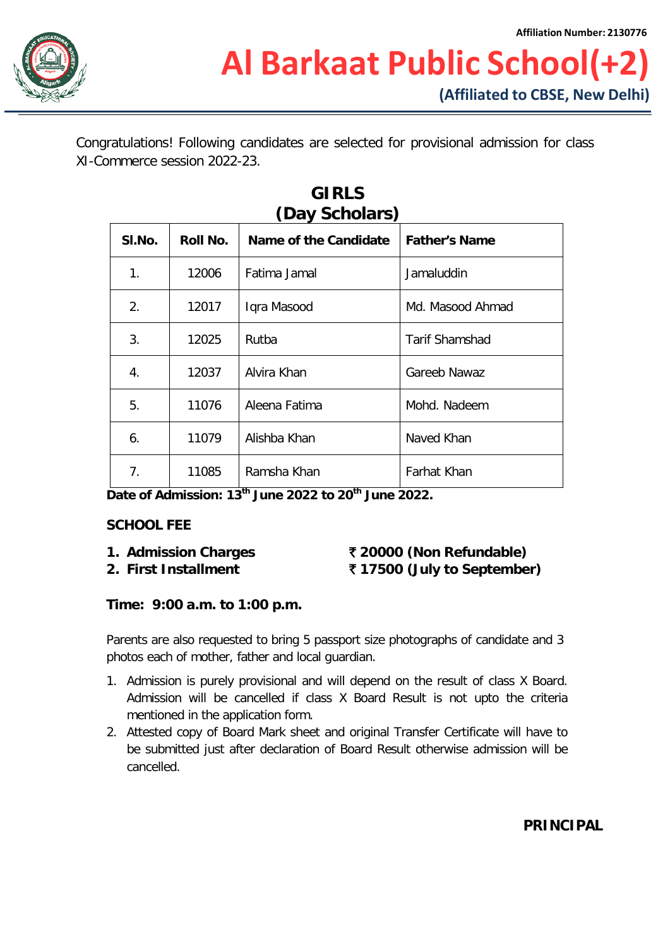

Congratulations! Following candidates are selected for provisional admission for class XI-Commerce session 2022-23.

| (Day Scholars) |          |                       |                       |  |  |  |
|----------------|----------|-----------------------|-----------------------|--|--|--|
| SI.No.         | Roll No. | Name of the Candidate | <b>Father's Name</b>  |  |  |  |
| 1.             | 12006    | Fatima Jamal          | Jamaluddin            |  |  |  |
| 2.             | 12017    | Iqra Masood           | Md. Masood Ahmad      |  |  |  |
| 3.             | 12025    | Rutba                 | <b>Tarif Shamshad</b> |  |  |  |
| 4.             | 12037    | Alvira Khan           | Gareeb Nawaz          |  |  |  |
| 5.             | 11076    | Aleena Fatima         | Mohd. Nadeem          |  |  |  |
| 6.             | 11079    | Alishba Khan          | Naved Khan            |  |  |  |
| 7.             | 11085    | Ramsha Khan           | Farhat Khan           |  |  |  |

## **GIRLS**

**Date of Admission: 13th June 2022 to 20th June 2022.**

#### **SCHOOL FEE**

### **1. Admission Charges** ` **20000 (Non Refundable) 2. First Installment** ` **17500 (July to September)**

#### **Time: 9:00 a.m. to 1:00 p.m.**

Parents are also requested to bring 5 passport size photographs of candidate and 3 photos each of mother, father and local guardian.

- 1. Admission is purely provisional and will depend on the result of class X Board. Admission will be cancelled if class X Board Result is not upto the criteria mentioned in the application form.
- 2. Attested copy of Board Mark sheet and original Transfer Certificate will have to be submitted just after declaration of Board Result otherwise admission will be cancelled.

### **PRINCIPAL**